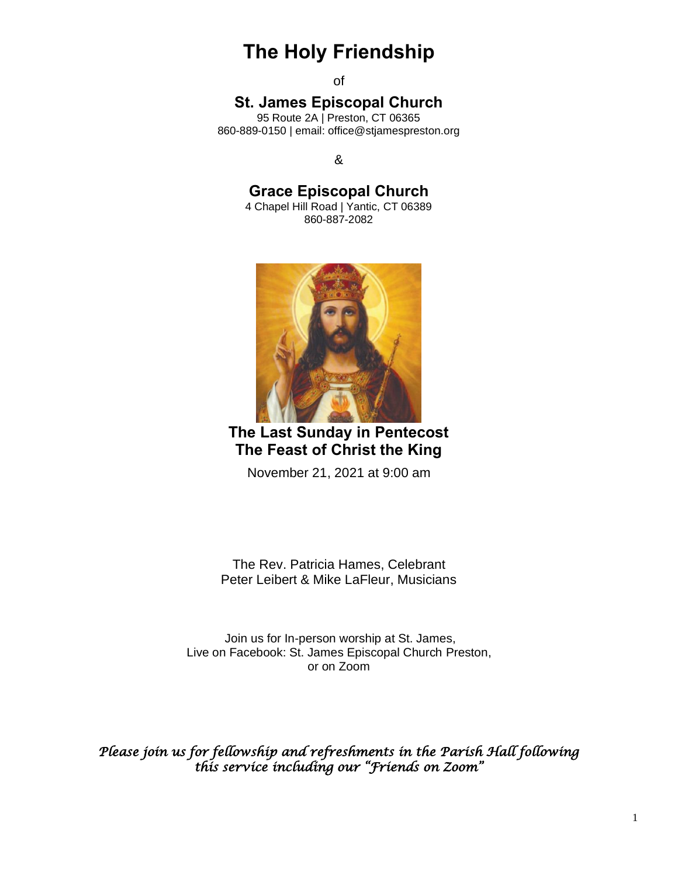# **The Holy Friendship**

of

# **St. James Episcopal Church**

95 Route 2A | Preston, CT 06365 860-889-0150 | email: office@stjamespreston.org

&

# **Grace Episcopal Church**

4 Chapel Hill Road | Yantic, CT 06389 860-887-2082



**The Last Sunday in Pentecost The Feast of Christ the King**

November 21, 2021 at 9:00 am

The Rev. Patricia Hames, Celebrant Peter Leibert & Mike LaFleur, Musicians

Join us for In-person worship at St. James, Live on Facebook: St. James Episcopal Church Preston, or on Zoom

*Please join us for fellowship and refreshments in the Parish Hall following this service including our "Friends on Zoom"*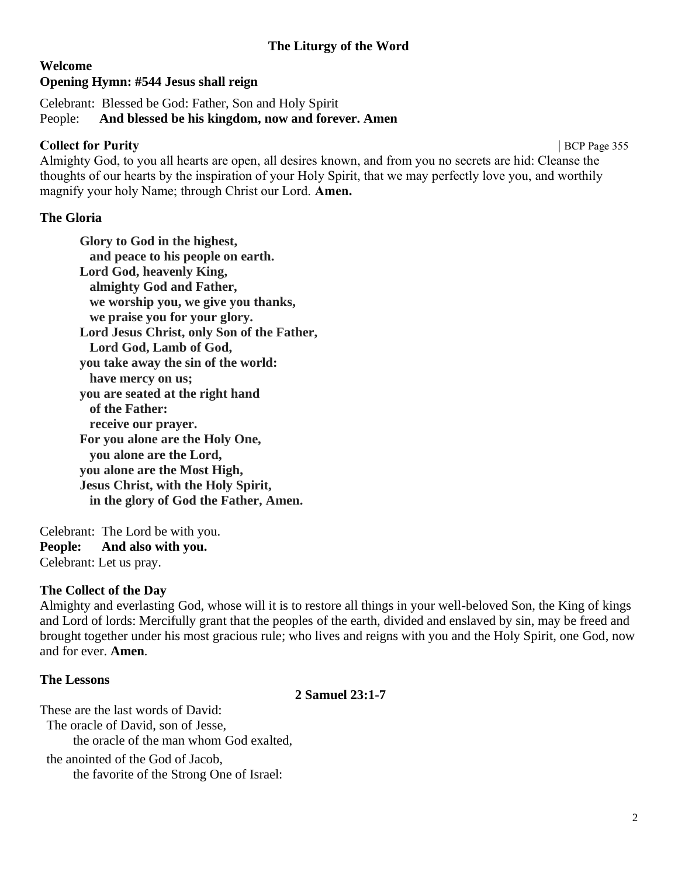# **Welcome**

## **Opening Hymn: #544 Jesus shall reign**

Celebrant: Blessed be God: Father, Son and Holy Spirit People: **And blessed be his kingdom, now and forever. Amen**

#### **Collect for Purity** | BCP Page 355

Almighty God, to you all hearts are open, all desires known, and from you no secrets are hid: Cleanse the thoughts of our hearts by the inspiration of your Holy Spirit, that we may perfectly love you, and worthily magnify your holy Name; through Christ our Lord. **Amen.**

#### **The Gloria**

 **Glory to God in the highest, and peace to his people on earth. Lord God, heavenly King, almighty God and Father, we worship you, we give you thanks, we praise you for your glory. Lord Jesus Christ, only Son of the Father, Lord God, Lamb of God, you take away the sin of the world: have mercy on us; you are seated at the right hand of the Father: receive our prayer. For you alone are the Holy One, you alone are the Lord, you alone are the Most High, Jesus Christ, with the Holy Spirit, in the glory of God the Father, Amen.** 

Celebrant: The Lord be with you. **People: And also with you.** Celebrant: Let us pray.

### **The Collect of the Day**

Almighty and everlasting God, whose will it is to restore all things in your well-beloved Son, the King of kings and Lord of lords: Mercifully grant that the peoples of the earth, divided and enslaved by sin, may be freed and brought together under his most gracious rule; who lives and reigns with you and the Holy Spirit, one God, now and for ever. **Amen***.*

### **The Lessons**

#### **2 Samuel 23:1-7**

These are the last words of David:

The oracle of David, son of Jesse,

the oracle of the man whom God exalted,

the anointed of the God of Jacob,

the favorite of the Strong One of Israel: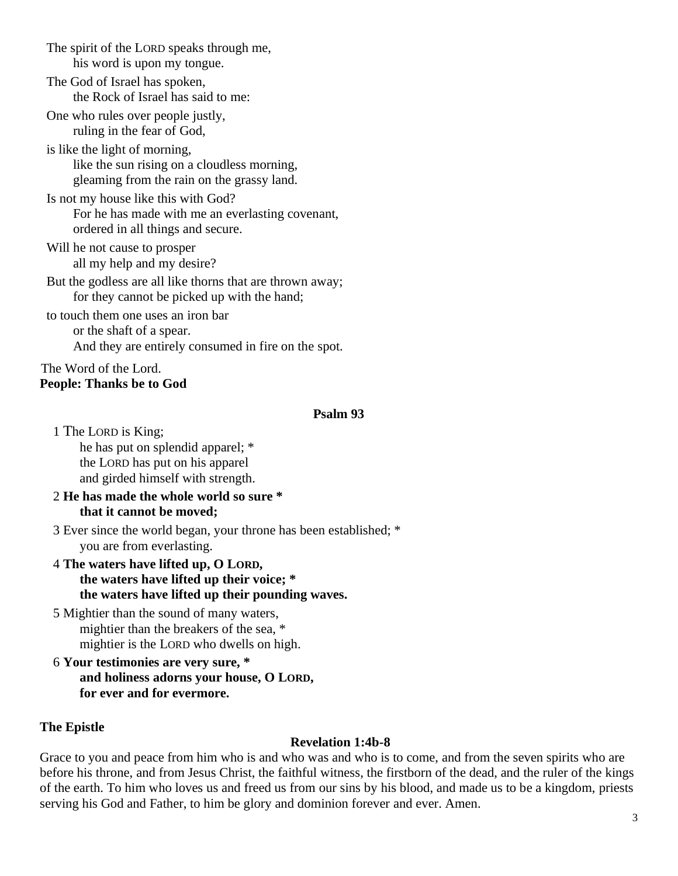| The spirit of the LORD speaks through me, |  |
|-------------------------------------------|--|
| his word is upon my tongue.               |  |

- The God of Israel has spoken, the Rock of Israel has said to me:
- One who rules over people justly, ruling in the fear of God,
- is like the light of morning, like the sun rising on a cloudless morning, gleaming from the rain on the grassy land.
- Is not my house like this with God? For he has made with me an everlasting covenant, ordered in all things and secure.
- Will he not cause to prosper all my help and my desire?
- But the godless are all like thorns that are thrown away; for they cannot be picked up with the hand;

to touch them one uses an iron bar or the shaft of a spear. And they are entirely consumed in fire on the spot.

The Word of the Lord. **People: Thanks be to God**

#### **Psalm 93**

- 1 The LORD is King; he has put on splendid apparel; \* the LORD has put on his apparel and girded himself with strength.
- 2 **He has made the whole world so sure \* that it cannot be moved;**
- 3 Ever since the world began, your throne has been established; \* you are from everlasting.
- 4 **The waters have lifted up, O LORD, the waters have lifted up their voice; \* the waters have lifted up their pounding waves.**
- 5 Mightier than the sound of many waters, mightier than the breakers of the sea, \* mightier is the LORD who dwells on high.
- 6 **Your testimonies are very sure, \* and holiness adorns your house, O LORD, for ever and for evermore.**

### **The Epistle**

### **Revelation 1:4b-8**

Grace to you and peace from him who is and who was and who is to come, and from the seven spirits who are before his throne, and from Jesus Christ, the faithful witness, the firstborn of the dead, and the ruler of the kings of the earth. To him who loves us and freed us from our sins by his blood, and made us to be a kingdom, priests serving his God and Father, to him be glory and dominion forever and ever. Amen.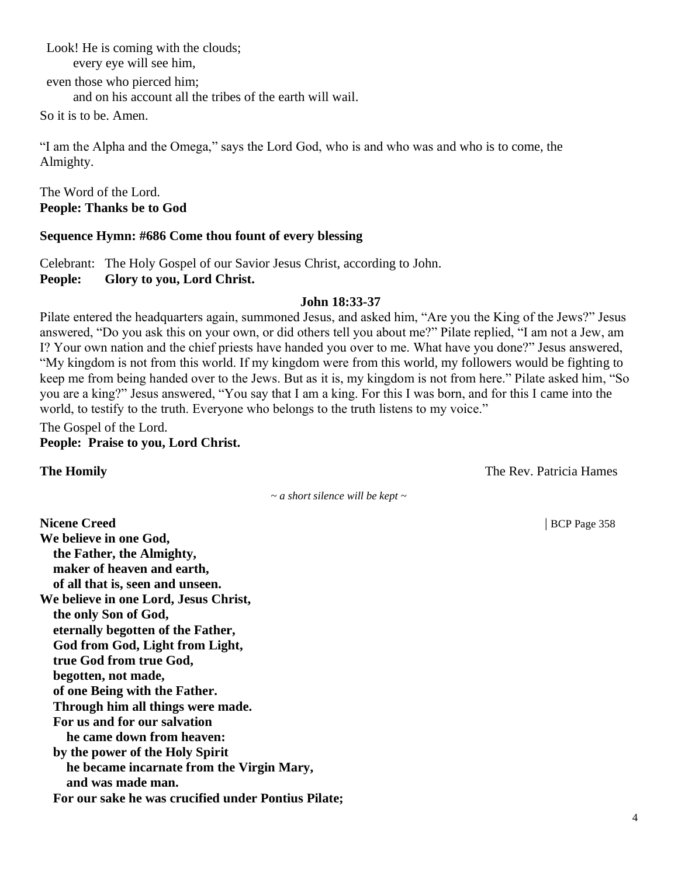Look! He is coming with the clouds; every eye will see him, even those who pierced him;

and on his account all the tribes of the earth will wail.

So it is to be. Amen.

"I am the Alpha and the Omega," says the Lord God, who is and who was and who is to come, the Almighty.

The Word of the Lord. **People: Thanks be to God**

#### **Sequence Hymn: #686 Come thou fount of every blessing**

Celebrant: The Holy Gospel of our Savior Jesus Christ, according to John. **People: Glory to you, Lord Christ.**

#### **John 18:33-37**

Pilate entered the headquarters again, summoned Jesus, and asked him, "Are you the King of the Jews?" Jesus answered, "Do you ask this on your own, or did others tell you about me?" Pilate replied, "I am not a Jew, am I? Your own nation and the chief priests have handed you over to me. What have you done?" Jesus answered, "My kingdom is not from this world. If my kingdom were from this world, my followers would be fighting to keep me from being handed over to the Jews. But as it is, my kingdom is not from here." Pilate asked him, "So you are a king?" Jesus answered, "You say that I am a king. For this I was born, and for this I came into the world, to testify to the truth. Everyone who belongs to the truth listens to my voice."

The Gospel of the Lord. **People: Praise to you, Lord Christ.**

**The Homily** The Rev. Patricia Hames

*~ a short silence will be kept ~*

**Nicene Creed** | BCP Page 358 **We believe in one God, the Father, the Almighty, maker of heaven and earth, of all that is, seen and unseen. We believe in one Lord, Jesus Christ, the only Son of God, eternally begotten of the Father, God from God, Light from Light, true God from true God, begotten, not made, of one Being with the Father. Through him all things were made. For us and for our salvation he came down from heaven: by the power of the Holy Spirit he became incarnate from the Virgin Mary, and was made man. For our sake he was crucified under Pontius Pilate;**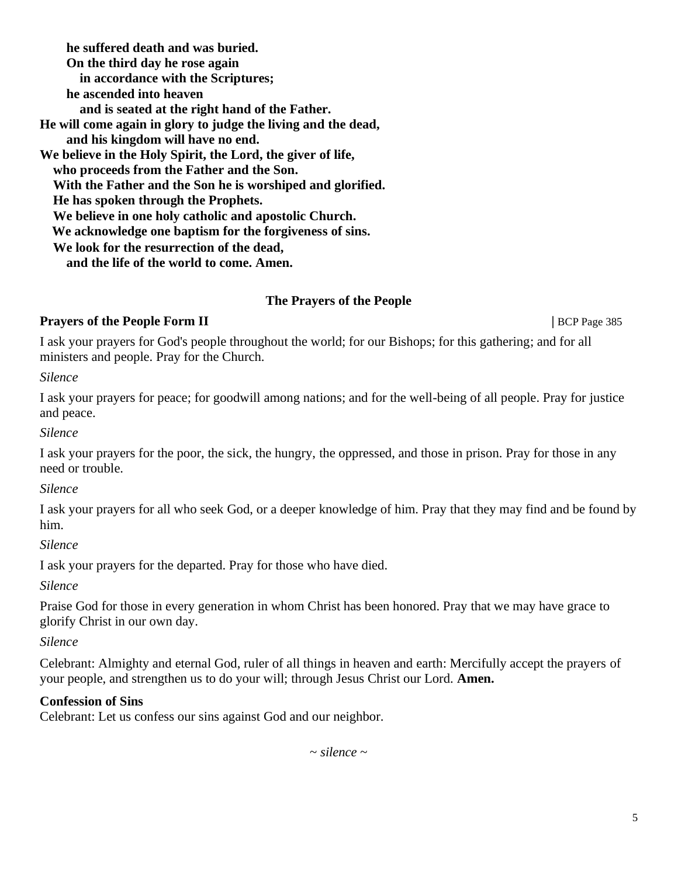**he suffered death and was buried. On the third day he rose again in accordance with the Scriptures; he ascended into heaven and is seated at the right hand of the Father. He will come again in glory to judge the living and the dead, and his kingdom will have no end. We believe in the Holy Spirit, the Lord, the giver of life, who proceeds from the Father and the Son. With the Father and the Son he is worshiped and glorified. He has spoken through the Prophets. We believe in one holy catholic and apostolic Church. We acknowledge one baptism for the forgiveness of sins. We look for the resurrection of the dead, and the life of the world to come. Amen.**

# **The Prayers of the People**

### **Prayers of the People Form II in the People Form II is a set of the People Form II is a set of the People Form II is a set of the People Form II is a set of the People Form II is a set of the People Form II**

I ask your prayers for God's people throughout the world; for our Bishops; for this gathering; and for all ministers and people. Pray for the Church.

#### *Silence*

I ask your prayers for peace; for goodwill among nations; and for the well-being of all people. Pray for justice and peace.

#### *Silence*

I ask your prayers for the poor, the sick, the hungry, the oppressed, and those in prison. Pray for those in any need or trouble.

### *Silence*

I ask your prayers for all who seek God, or a deeper knowledge of him. Pray that they may find and be found by him.

## *Silence*

I ask your prayers for the departed. Pray for those who have died.

*Silence* 

Praise God for those in every generation in whom Christ has been honored. Pray that we may have grace to glorify Christ in our own day.

### *Silence*

Celebrant: Almighty and eternal God, ruler of all things in heaven and earth: Mercifully accept the prayers of your people, and strengthen us to do your will; through Jesus Christ our Lord. **Amen.** 

### **Confession of Sins**

Celebrant: Let us confess our sins against God and our neighbor.

~ *silence* ~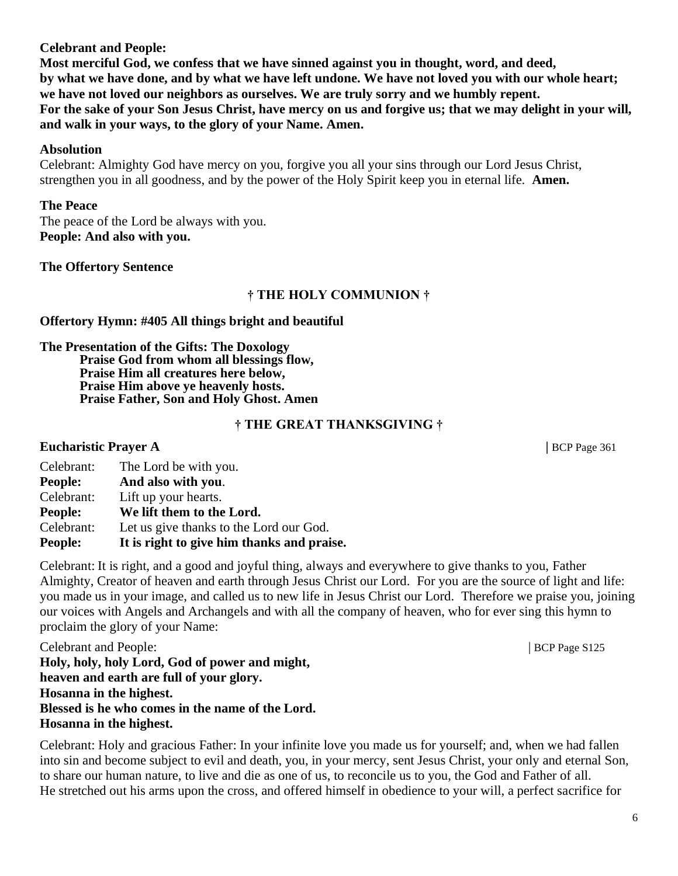**Celebrant and People:** 

**Most merciful God, we confess that we have sinned against you in thought, word, and deed, by what we have done, and by what we have left undone. We have not loved you with our whole heart; we have not loved our neighbors as ourselves. We are truly sorry and we humbly repent. For the sake of your Son Jesus Christ, have mercy on us and forgive us; that we may delight in your will, and walk in your ways, to the glory of your Name. Amen.**

#### **Absolution**

Celebrant: Almighty God have mercy on you, forgive you all your sins through our Lord Jesus Christ, strengthen you in all goodness, and by the power of the Holy Spirit keep you in eternal life. **Amen.**

#### **The Peace**

The peace of the Lord be always with you. **People: And also with you.**

**The Offertory Sentence**

### **† THE HOLY COMMUNION †**

### **Offertory Hymn: #405 All things bright and beautiful**

**The Presentation of the Gifts: The Doxology Praise God from whom all blessings flow, Praise Him all creatures here below, Praise Him above ye heavenly hosts. Praise Father, Son and Holy Ghost. Amen** 

#### **† THE GREAT THANKSGIVING †**

#### **Eucharistic Prayer A**  $\qquad \qquad$  **BCP** Page 361

| Celebrant:     | The Lord be with you.                      |
|----------------|--------------------------------------------|
| <b>People:</b> | And also with you.                         |
| Celebrant:     | Lift up your hearts.                       |
| <b>People:</b> | We lift them to the Lord.                  |
| Celebrant:     | Let us give thanks to the Lord our God.    |
| People:        | It is right to give him thanks and praise. |

Celebrant: It is right, and a good and joyful thing, always and everywhere to give thanks to you, Father Almighty, Creator of heaven and earth through Jesus Christ our Lord. For you are the source of light and life: you made us in your image, and called us to new life in Jesus Christ our Lord. Therefore we praise you, joining our voices with Angels and Archangels and with all the company of heaven, who for ever sing this hymn to proclaim the glory of your Name:

Celebrant and People:  $|$  BCP Page S125 **Holy, holy, holy Lord, God of power and might, heaven and earth are full of your glory. Hosanna in the highest. Blessed is he who comes in the name of the Lord. Hosanna in the highest.**

Celebrant: Holy and gracious Father: In your infinite love you made us for yourself; and, when we had fallen into sin and become subject to evil and death, you, in your mercy, sent Jesus Christ, your only and eternal Son, to share our human nature, to live and die as one of us, to reconcile us to you, the God and Father of all. He stretched out his arms upon the cross, and offered himself in obedience to your will, a perfect sacrifice for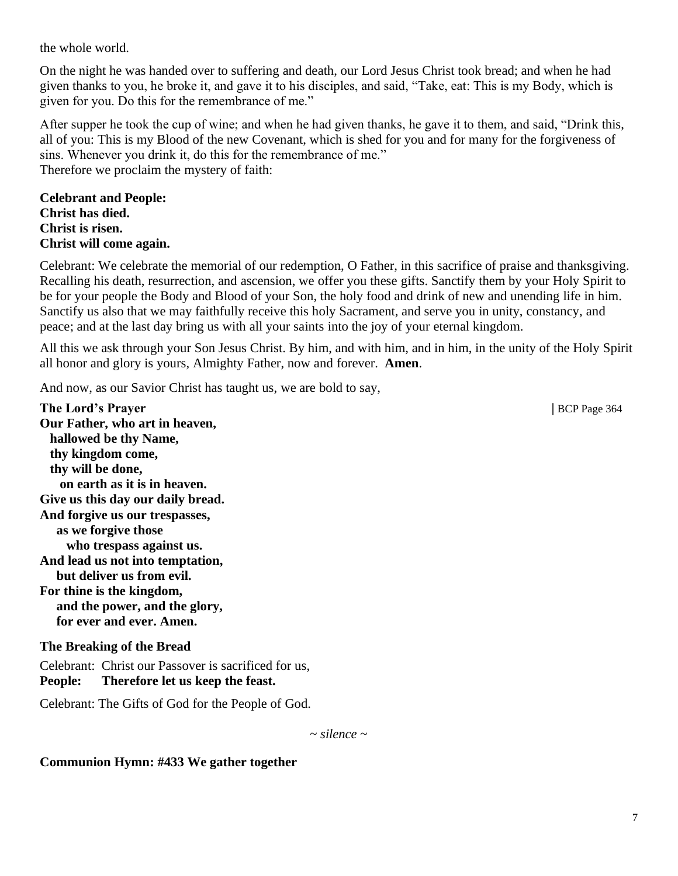the whole world.

On the night he was handed over to suffering and death, our Lord Jesus Christ took bread; and when he had given thanks to you, he broke it, and gave it to his disciples, and said, "Take, eat: This is my Body, which is given for you. Do this for the remembrance of me."

After supper he took the cup of wine; and when he had given thanks, he gave it to them, and said, "Drink this, all of you: This is my Blood of the new Covenant, which is shed for you and for many for the forgiveness of sins. Whenever you drink it, do this for the remembrance of me." Therefore we proclaim the mystery of faith:

**Celebrant and People: Christ has died. Christ is risen. Christ will come again.**

Celebrant: We celebrate the memorial of our redemption, O Father, in this sacrifice of praise and thanksgiving. Recalling his death, resurrection, and ascension, we offer you these gifts. Sanctify them by your Holy Spirit to be for your people the Body and Blood of your Son, the holy food and drink of new and unending life in him. Sanctify us also that we may faithfully receive this holy Sacrament, and serve you in unity, constancy, and peace; and at the last day bring us with all your saints into the joy of your eternal kingdom.

All this we ask through your Son Jesus Christ. By him, and with him, and in him, in the unity of the Holy Spirit all honor and glory is yours, Almighty Father, now and forever. **Amen**.

And now, as our Savior Christ has taught us, we are bold to say,

**The Lord's Prayer | BCP Page 364 Our Father, who art in heaven, hallowed be thy Name, thy kingdom come, thy will be done, on earth as it is in heaven. Give us this day our daily bread. And forgive us our trespasses, as we forgive those who trespass against us. And lead us not into temptation, but deliver us from evil. For thine is the kingdom, and the power, and the glory, for ever and ever. Amen.**

#### **The Breaking of the Bread**

Celebrant:Christ our Passover is sacrificed for us, **People: Therefore let us keep the feast.**

Celebrant: The Gifts of God for the People of God.

*~ silence ~*

**Communion Hymn: #433 We gather together**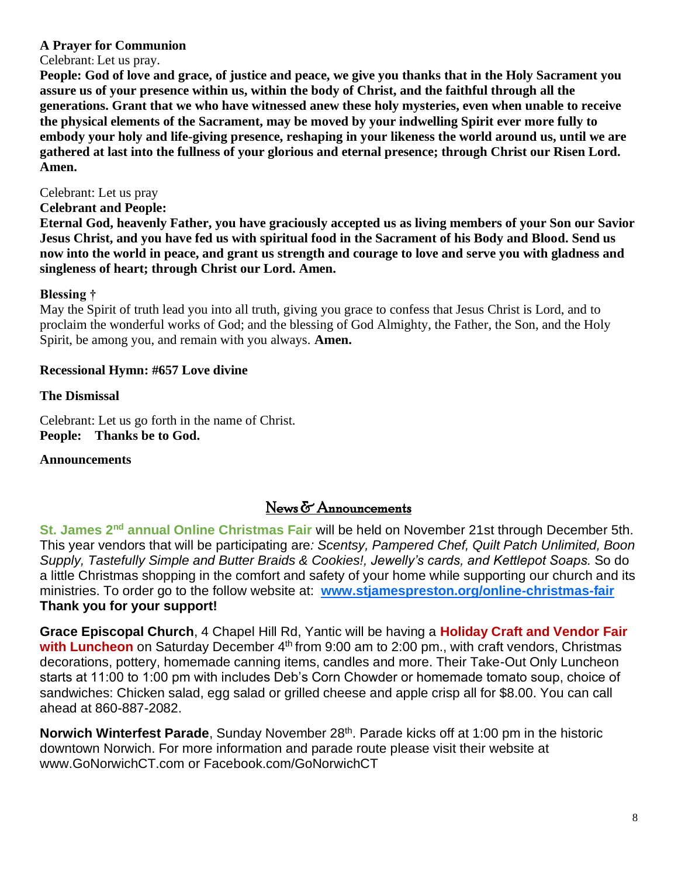## **A Prayer for Communion**

# Celebrant: Let us pray.

**People: God of love and grace, of justice and peace, we give you thanks that in the Holy Sacrament you assure us of your presence within us, within the body of Christ, and the faithful through all the generations. Grant that we who have witnessed anew these holy mysteries, even when unable to receive the physical elements of the Sacrament, may be moved by your indwelling Spirit ever more fully to embody your holy and life-giving presence, reshaping in your likeness the world around us, until we are gathered at last into the fullness of your glorious and eternal presence; through Christ our Risen Lord. Amen.**

# Celebrant: Let us pray

## **Celebrant and People:**

**Eternal God, heavenly Father, you have graciously accepted us as living members of your Son our Savior Jesus Christ, and you have fed us with spiritual food in the Sacrament of his Body and Blood. Send us now into the world in peace, and grant us strength and courage to love and serve you with gladness and singleness of heart; through Christ our Lord. Amen.**

# **Blessing †**

May the Spirit of truth lead you into all truth, giving you grace to confess that Jesus Christ is Lord, and to proclaim the wonderful works of God; and the blessing of God Almighty, the Father, the Son, and the Holy Spirit, be among you, and remain with you always. **Amen.**

# **Recessional Hymn: #657 Love divine**

# **The Dismissal**

Celebrant: Let us go forth in the name of Christ. **People: Thanks be to God.** 

### **Announcements**

# News & Announcements

**St. James 2<sup>nd</sup> annual Online Christmas Fair will be held on November 21st through December 5th.** This year vendors that will be participating are*: Scentsy, Pampered Chef, Quilt Patch Unlimited, Boon Supply, Tastefully Simple and Butter Braids & Cookies!, Jewelly's cards, and Kettlepot Soaps.* So do a little Christmas shopping in the comfort and safety of your home while supporting our church and its ministries. To order go to the follow website at: **[www.stjamespreston.org/online-christmas-fair](http://www.stjamespreston.org/online-christmas-fair)  Thank you for your support!**

**Grace Episcopal Church**, 4 Chapel Hill Rd, Yantic will be having a **Holiday Craft and Vendor Fair with Luncheon** on Saturday December 4<sup>th</sup> from 9:00 am to 2:00 pm., with craft vendors, Christmas decorations, pottery, homemade canning items, candles and more. Their Take-Out Only Luncheon starts at 11:00 to 1:00 pm with includes Deb's Corn Chowder or homemade tomato soup, choice of sandwiches: Chicken salad, egg salad or grilled cheese and apple crisp all for \$8.00. You can call ahead at 860-887-2082.

**Norwich Winterfest Parade**, Sunday November 28<sup>th</sup>. Parade kicks off at 1:00 pm in the historic downtown Norwich. For more information and parade route please visit their website at [www.GoNorwichCT.com](http://www.gonorwichct.com/) or Facebook.com/GoNorwichCT